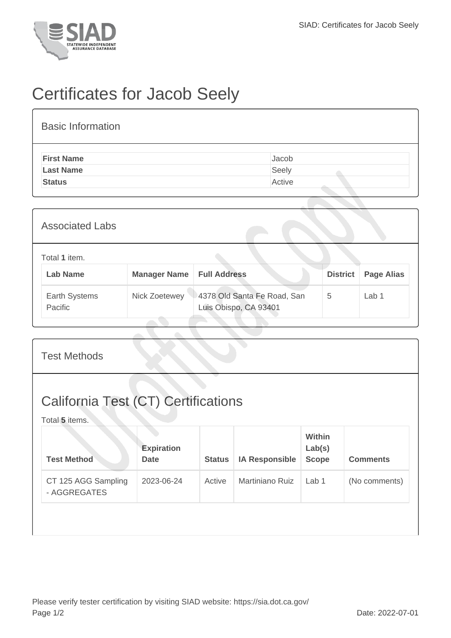

## Certificates for Jacob Seely

| <b>Basic Information</b> |        |
|--------------------------|--------|
| <b>First Name</b>        | Jacob  |
| <b>Last Name</b>         | Seely  |
| <b>Status</b>            | Active |
|                          |        |

| <b>Associated Labs</b>           |                     |                                                      |                 |                   |
|----------------------------------|---------------------|------------------------------------------------------|-----------------|-------------------|
| Total 1 item.<br><b>Lab Name</b> | <b>Manager Name</b> | <b>Full Address</b>                                  | <b>District</b> | <b>Page Alias</b> |
| Earth Systems<br>Pacific         | Nick Zoetewey       | 4378 Old Santa Fe Road, San<br>Luis Obispo, CA 93401 | 5               | Lab 1             |

| <b>Test Methods</b>                                          |                                  |               |                        |                                         |                 |
|--------------------------------------------------------------|----------------------------------|---------------|------------------------|-----------------------------------------|-----------------|
| <b>California Test (CT) Certifications</b><br>Total 5 items. |                                  |               |                        |                                         |                 |
| <b>Test Method</b>                                           | <b>Expiration</b><br><b>Date</b> | <b>Status</b> | <b>IA Responsible</b>  | <b>Within</b><br>Lab(s)<br><b>Scope</b> | <b>Comments</b> |
| CT 125 AGG Sampling<br>- AGGREGATES                          | 2023-06-24                       | Active        | <b>Martiniano Ruiz</b> | Lab 1                                   | (No comments)   |
|                                                              |                                  |               |                        |                                         |                 |